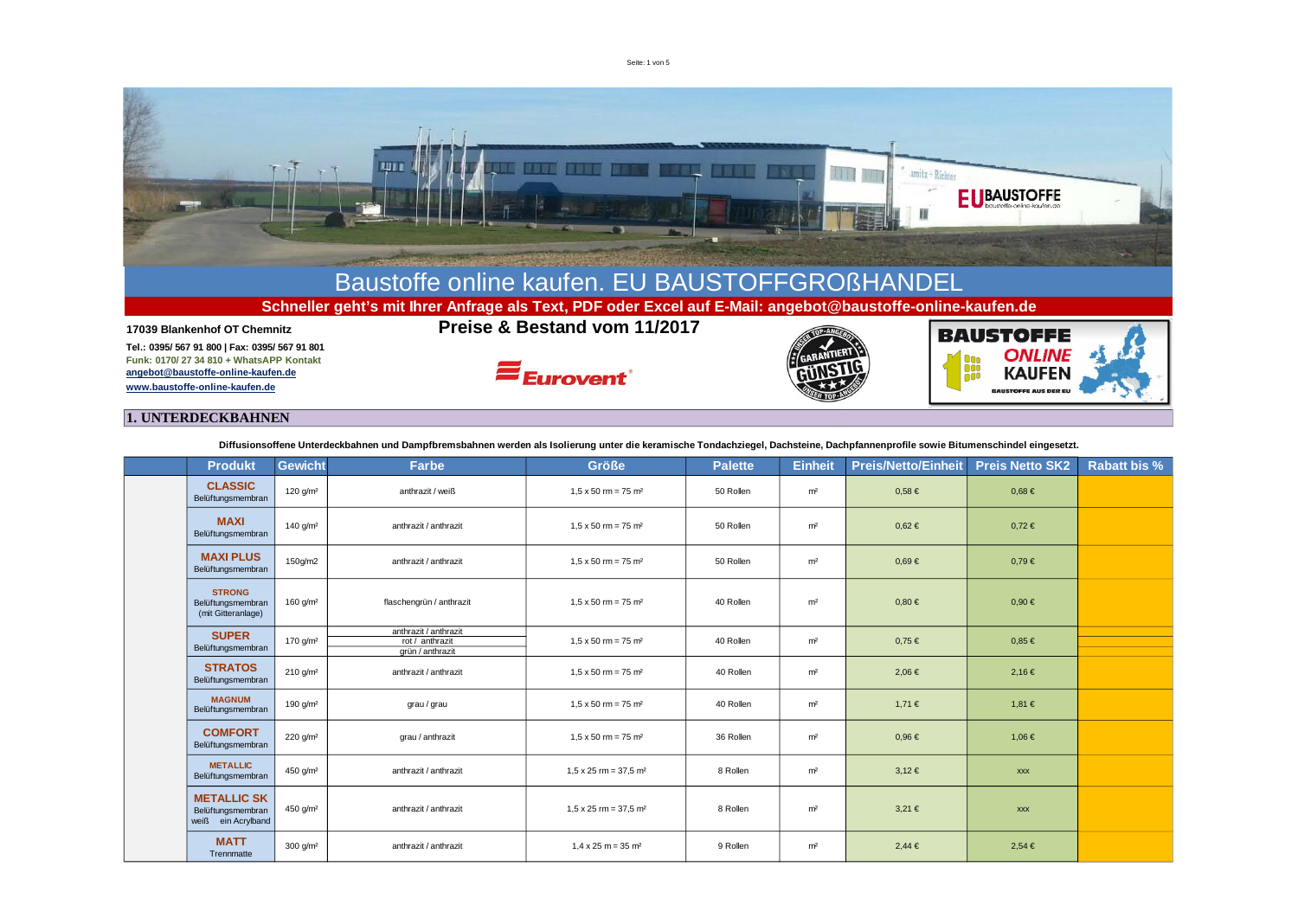Seite: 1 von 5



## **1. UNTERDECKBAHNEN**

**Diffusionsoffene Unterdeckbahnen und Dampfbremsbahnen werden als Isolierung unter die keramische Tondachziegel, Dachsteine, Dachpfannenprofile sowie Bitumenschindel eingesetzt.**

| <b>Produkt</b>                                                | <b>Gewicht</b>         | Farbe                                                        | <b>Größe</b>                             | <b>Palette</b> | <b>Einheit</b> | <b>Preis/Netto/Einheit</b> | <b>Preis Netto SK2</b> | <b>Rabatt bis %</b> |
|---------------------------------------------------------------|------------------------|--------------------------------------------------------------|------------------------------------------|----------------|----------------|----------------------------|------------------------|---------------------|
| <b>CLASSIC</b><br>Belüftungsmembran                           | 120 $q/m^2$            | anthrazit / weiß                                             | $1.5 \times 50$ rm = 75 m <sup>2</sup>   | 50 Rollen      | m <sup>2</sup> | $0.58 \in$                 | $0.68 \in$             |                     |
| <b>MAXI</b><br>Belüftungsmembran                              | 140 $q/m^2$            | anthrazit / anthrazit                                        | $1.5 \times 50$ rm = 75 m <sup>2</sup>   | 50 Rollen      | m <sup>2</sup> | $0,62 \in$                 | $0,72 \in$             |                     |
| <b>MAXI PLUS</b><br>Belüftungsmembran                         | 150g/m2                | anthrazit / anthrazit                                        | $1.5 \times 50$ rm = 75 m <sup>2</sup>   | 50 Rollen      | m <sup>2</sup> | $0.69 \in$                 | $0,79 \in$             |                     |
| <b>STRONG</b><br>Belüftungsmembran<br>(mit Gitteranlage)      | 160 $g/m2$             | flaschengrün / anthrazit                                     | $1.5 \times 50$ rm = 75 m <sup>2</sup>   | 40 Rollen      | m <sup>2</sup> | $0.80 \in$                 | $0,90 \in$             |                     |
| <b>SUPER</b><br>Belüftungsmembran                             | 170 g/m <sup>2</sup>   | anthrazit / anthrazit<br>rot / anthrazit<br>grün / anthrazit | $1.5 \times 50$ rm = 75 m <sup>2</sup>   | 40 Rollen      | m <sup>2</sup> | $0.75 \in$                 | $0.85 \in$             |                     |
| <b>STRATOS</b><br>Belüftungsmembran                           | $210 \text{ q/m}^2$    | anthrazit / anthrazit                                        | $1.5 \times 50$ rm = 75 m <sup>2</sup>   | 40 Rollen      | m <sup>2</sup> | $2,06 \in$                 | 2,16€                  |                     |
| <b>MAGNUM</b><br>Belüftungsmembran                            | 190 $q/m^2$            | grau / grau                                                  | $1.5 \times 50$ rm = 75 m <sup>2</sup>   | 40 Rollen      | m <sup>2</sup> | 1,71 €                     | 1,81 €                 |                     |
| <b>COMFORT</b><br>Belüftungsmembran                           | 220 g/m <sup>2</sup>   | grau / anthrazit                                             | $1.5 \times 50$ rm = 75 m <sup>2</sup>   | 36 Rollen      | m <sup>2</sup> | $0,96 \in$                 | 1,06 €                 |                     |
| <b>METALLIC</b><br>Belüftungsmembran                          | 450 g/m <sup>2</sup>   | anthrazit / anthrazit                                        | $1,5 \times 25$ rm = 37,5 m <sup>2</sup> | 8 Rollen       | m <sup>2</sup> | $3,12 \in$                 | <b>XXX</b>             |                     |
| <b>METALLIC SK</b><br>Belüftungsmembran<br>weiß ein Acrylband | 450 g/m <sup>2</sup>   | anthrazit / anthrazit                                        | $1.5 \times 25$ rm = 37.5 m <sup>2</sup> | 8 Rollen       | m <sup>2</sup> | $3.21 \in$                 | <b>XXX</b>             |                     |
| <b>MATT</b><br>Trennmatte                                     | $300$ g/m <sup>2</sup> | anthrazit / anthrazit                                        | $1.4 \times 25$ m = 35 m <sup>2</sup>    | 9 Rollen       | m <sup>2</sup> | $2.44 \in$                 | $2.54 \in$             |                     |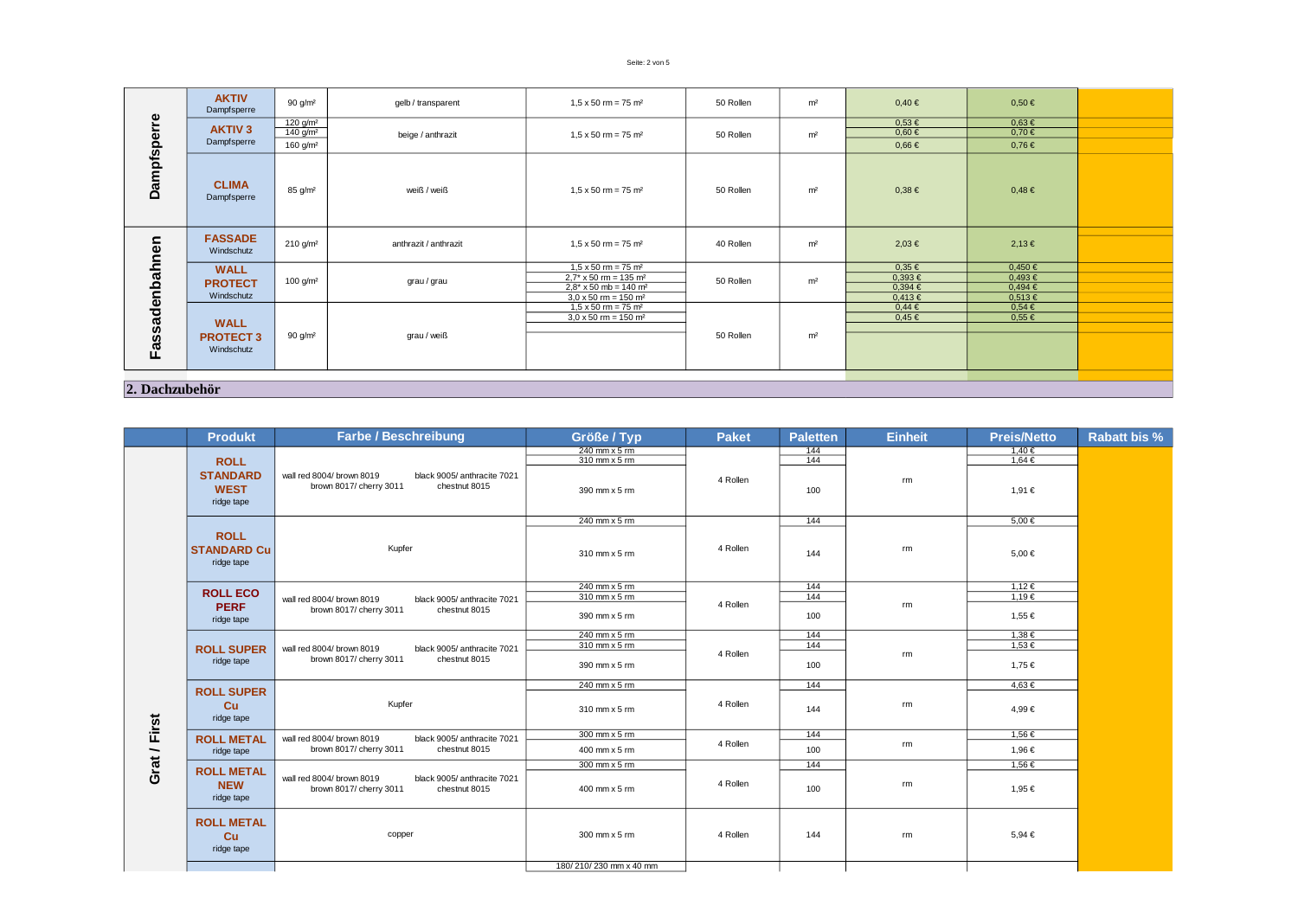## Seite: 2 von 5

| ၜႍ               | <b>AKTIV</b><br>Dampfsperre    | 90 $g/m2$              | gelb / transparent    | $1,5 \times 50$ rm = 75 m <sup>2</sup>    | 50 Rollen | m <sup>2</sup>              | $0,40 \in$  | $0,50 \in$  |  |
|------------------|--------------------------------|------------------------|-----------------------|-------------------------------------------|-----------|-----------------------------|-------------|-------------|--|
|                  |                                | 120 g/m <sup>2</sup>   | beige / anthrazit     | $1,5 \times 50$ rm = 75 m <sup>2</sup>    | 50 Rollen |                             | $0.53 \in$  | $0.63 \in$  |  |
|                  | <b>AKTIV<sub>3</sub></b>       | $140$ g/m <sup>2</sup> |                       |                                           |           | m <sup>2</sup>              | $0,60 \in$  | $0,70 \in$  |  |
|                  | Dampfsperre                    | 160 $g/m2$             |                       |                                           |           |                             | $0,66 \in$  | $0.76 \in$  |  |
| <b>Dampfsper</b> | <b>CLIMA</b><br>Dampfsperre    | 85 g/m <sup>2</sup>    | weiß / weiß           | $1,5 \times 50$ rm = 75 m <sup>2</sup>    | 50 Rollen | m <sup>2</sup>              | $0.38 \in$  | $0,48 \in$  |  |
|                  |                                |                        |                       |                                           |           |                             |             |             |  |
|                  | <b>FASSADE</b><br>Windschutz   | $210 \text{ q/m}^2$    | anthrazit / anthrazit | $1,5 \times 50$ rm = 75 m <sup>2</sup>    | 40 Rollen | m <sup>2</sup>              | $2,03 \in$  | 2,13€       |  |
|                  | <b>WALL</b><br><b>PROTECT</b>  |                        | grau / grau           | $1,5 \times 50$ rm = 75 m <sup>2</sup>    | 50 Rollen | m <sup>2</sup>              | $0,35 \in$  | 0,450 €     |  |
|                  |                                | 100 $g/m^2$            |                       | $2.7^* \times 50$ rm = 135 m <sup>2</sup> |           |                             | $0,393 \in$ | $0,493 \in$ |  |
|                  |                                |                        |                       | $2.8* \times 50$ mb = 140 m <sup>2</sup>  |           |                             | $0,394 \in$ | $0,494 \in$ |  |
|                  | Windschutz                     |                        |                       | $3.0 \times 50$ rm = 150 m <sup>2</sup>   |           |                             | 0,413€      | $0,513 \in$ |  |
|                  |                                |                        |                       | $1,5 \times 50$ rm = 75 m <sup>2</sup>    |           |                             | $0,44 \in$  | $0.54 \in$  |  |
|                  | <b>WALL</b>                    |                        |                       | $3.0 \times 50$ rm = 150 m <sup>2</sup>   |           |                             | $0,45 \in$  | $0.55 \in$  |  |
|                  |                                |                        |                       |                                           |           | 50 Rollen<br>m <sup>2</sup> |             |             |  |
| Fassadenbahnen   | <b>PROTECT 3</b><br>Windschutz | 90 g/m <sup>2</sup>    | grau / weiß           |                                           |           |                             |             |             |  |
|                  |                                |                        |                       |                                           |           |                             |             |             |  |
| 2. Dachzubehör   |                                |                        |                       |                                           |           |                             |             |             |  |

**Produkt Größe / Typ Paket Paletten Einheit Preis/Netto Rabatt bis % Farbe / Beschreibung** 240 mm x 5 rm 144 1,40 € 310 mm x 5 rm 144 1,64 € **ROLL STANDARD** wall red 8004/ brown 8019 black 9005/ anthracite 7021<br>brown 8017/ cherry 3011 chestnut 8015 d 8004/ brown 8019 black 9005/ anthracite 7021<br>brown 8017/ cherry 3011 chestnut 8015  $\frac{1}{200 \text{ mm}} \times 5 \text{ cm}$ rm **WEST**  $390 \text{ mm} \times 5 \text{ mm}$  1.91 € ridge tape 240 mm x 5 rm 5,00 € **ROLL**  $310 \text{ mm} \times 5 \text{ cm}$  4 Rollen  $144$  fm 5,00 € **STANDARD Cu** Kupfer 4 Rollen rm ridge tape  $\frac{240 \text{ mm} \times 5 \text{ m}}{310 \text{ mm} \times 5 \text{ m}}$ <br>  $\frac{144}{1.19 \text{ } \infty}$ <br>  $\frac{144}{1.19 \text{ } \infty}$ <br>  $\frac{144}{1.19 \text{ } \infty}$ <br>  $\frac{1.12 \text{ } \infty}{1.19 \text{ } \infty}$ **ROLL ECO**  $310$  mm  $x 5$  rm 4 Rollen wall red 8004/ brown 8019 black 9005/ anthracite 7021<br>brown 8017/ cherry 3011 chestnut 8015 **PERF** rm brown 8017/ cherry 3011  $390 \text{ mm} \times 5 \text{ fm}$  1,55 € ridge tape  $\frac{240 \text{ mm} \times 5 \text{ cm}}{310 \text{ mm} \times 5 \text{ cm}}$   $\frac{144}{144}$   $\frac{1,38 \text{ }\infty}{1,53 \text{ }\infty}$  $\overline{310 \text{ mm} \times 5 \text{ cm}}$   $\overline{4 \text{ Rollen}}$   $\overline{144}$  rm **ROLL SUPER** wall red 8004/ brown 8019 black 9005/ anthracite 7021<br>brown 8017/ cherry 3011 chestnut 8015 brown 8017/ cherry 3011 ridge tape  $390$  mm x 5 rm  $1.75 \in$  $240 \text{ mm} \times 5 \text{ mm}$  4.63 € **ROLL SUPER** rm **Cu** 310 mm x 5 rm 144 4,99 € Kupfer 4 Rollen Grat / First ridge tape **Grat / First**  $\frac{144}{200 \text{ mm} \times 5 \text{ fm}}$  1,56 € **ROLL METAL** wall red 8004/ brown 8019 black 9005/ anthracite 7021<br>brown 8017/ cherry 3011 chestnut 8015 4 Rollen brown 8017/ cherry 3011  $400 \text{ mm} \times 5 \text{ mm}$   $4 \text{ K}$  and  $4 \text{ K}$  100 1,96 € ridge tape  $300 \text{ mm} \times 5 \text{ fm}$  144 1,56 € **ROLL METAL** wall red 8004/ brown 8019 black 9005/ anthracite 7021<br>brown 8017/ cherry 3011 chestnut 8015 **NEW**  $400 \text{ mm} \times 5 \text{ cm}$   $4 \text{ Rollen}$   $100$   $100$   $100$   $1.95 \in$ rm brown 8017/ cherry 3011 ridge tape **ROLL METAL** copper  $300 \text{ mm} \times 5 \text{ mm}$  a Rollen 144 rm m 5,94 € **Cu** ridge tape 180/ 210/ 230 mm x 40 mm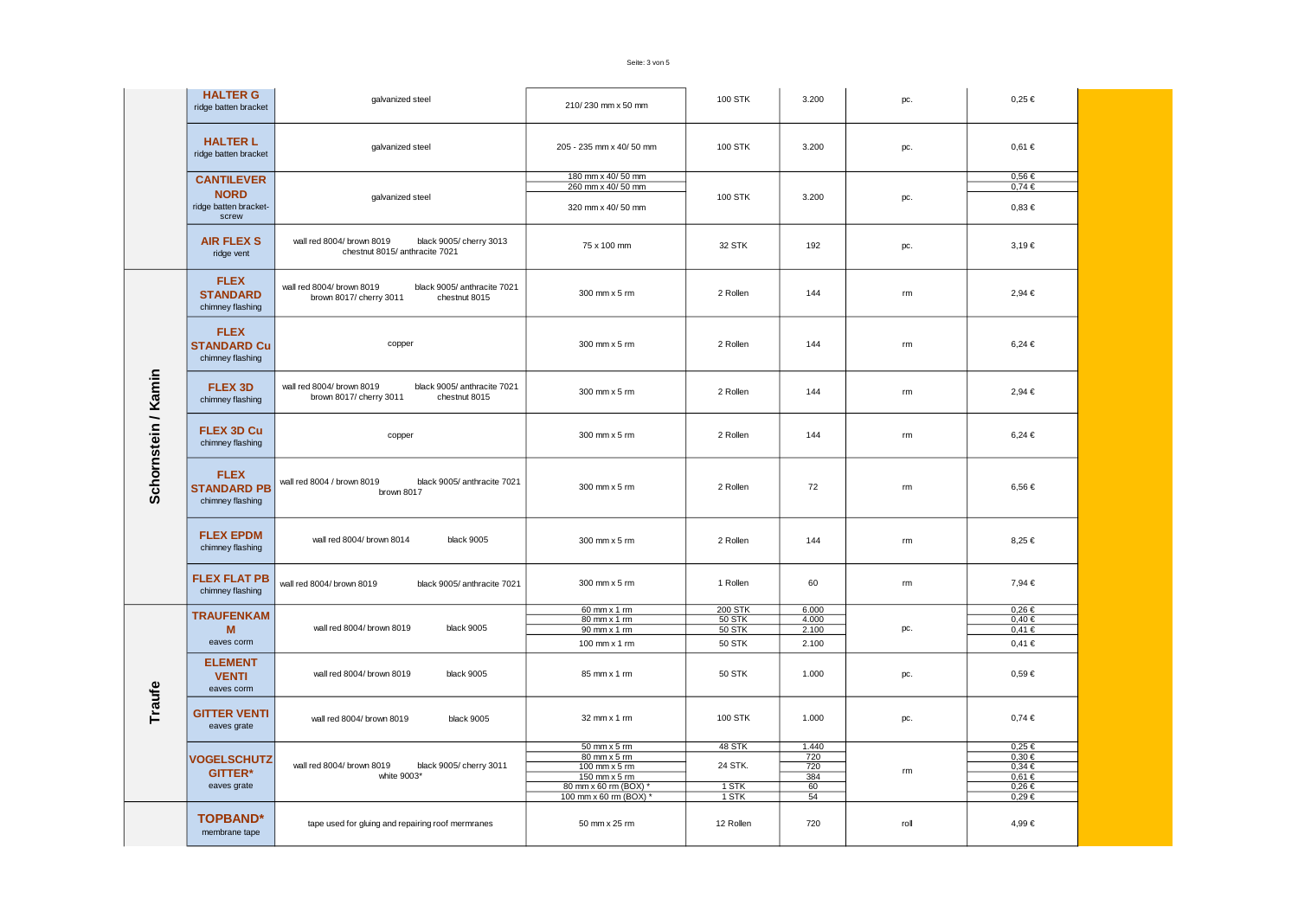|                     | <b>HALTER G</b><br>ridge batten bracket                            | galvanized steel                                                                                     | 210/230 mm x 50 mm                                                                                                    | <b>100 STK</b>                                             | 3.200                                  | pc.           | $0.25 \in$                                                                       |  |
|---------------------|--------------------------------------------------------------------|------------------------------------------------------------------------------------------------------|-----------------------------------------------------------------------------------------------------------------------|------------------------------------------------------------|----------------------------------------|---------------|----------------------------------------------------------------------------------|--|
|                     | <b>HALTER L</b><br>ridge batten bracket                            | galvanized steel                                                                                     | 205 - 235 mm x 40/ 50 mm                                                                                              | 100 STK                                                    | 3.200                                  | pc.           | $0.61 \in$                                                                       |  |
|                     | <b>CANTILEVER</b><br><b>NORD</b><br>ridge batten bracket-<br>screw | galvanized steel                                                                                     | 180 mm x 40/50 mm<br>260 mm x 40/50 mm<br>320 mm x 40/50 mm                                                           | <b>100 STK</b>                                             | 3.200                                  | pc.           | $0,56 \in$<br>$0,74 \in$<br>$0,83 \in$                                           |  |
|                     | <b>AIR FLEX S</b><br>ridge vent                                    | wall red 8004/ brown 8019<br>black 9005/ cherry 3013<br>chestnut 8015/ anthracite 7021               | 75 x 100 mm                                                                                                           | 32 STK                                                     | 192                                    | pc.           | $3,19 \in$                                                                       |  |
|                     | <b>FLEX</b><br><b>STANDARD</b><br>chimney flashing                 | wall red 8004/ brown 8019<br>black 9005/ anthracite 7021<br>brown 8017/ cherry 3011<br>chestnut 8015 | 300 mm x 5 rm                                                                                                         | 2 Rollen                                                   | 144                                    | rm            | 2,94 €                                                                           |  |
|                     | <b>FLEX</b><br><b>STANDARD Cu</b><br>chimney flashing              | copper                                                                                               | 300 mm x 5 rm                                                                                                         | 2 Rollen                                                   | 144                                    | rm            | $6,24 \in$                                                                       |  |
|                     | <b>FLEX 3D</b><br>chimney flashing                                 | wall red 8004/ brown 8019<br>black 9005/ anthracite 7021<br>brown 8017/ cherry 3011<br>chestnut 8015 | 300 mm x 5 rm                                                                                                         | 2 Rollen                                                   | 144                                    | $\mathsf{rm}$ | 2,94 €                                                                           |  |
| Schornstein / Kamin | FLEX 3D Cu<br>chimney flashing                                     | copper                                                                                               | 300 mm x 5 rm                                                                                                         | 2 Rollen                                                   | 144                                    | rm            | $6,24 \in$                                                                       |  |
|                     | <b>FLEX</b><br><b>STANDARD PB</b><br>chimney flashing              | wall red 8004 / brown 8019<br>black 9005/ anthracite 7021<br>brown 8017                              | 300 mm x 5 rm                                                                                                         | 2 Rollen                                                   | 72                                     | rm            | 6,56€                                                                            |  |
|                     | <b>FLEX EPDM</b><br>chimney flashing                               | wall red 8004/ brown 8014<br>black 9005                                                              | 300 mm x 5 rm                                                                                                         | 2 Rollen                                                   | 144                                    | rm            | 8,25 €                                                                           |  |
|                     | <b>FLEX FLAT PB</b><br>chimney flashing                            | wall red 8004/ brown 8019<br>black 9005/ anthracite 7021                                             | 300 mm x 5 rm                                                                                                         | 1 Rollen                                                   | 60                                     | rm            | 7,94 €                                                                           |  |
|                     | <b>TRAUFENKAM</b><br>M<br>eaves corm                               | wall red 8004/ brown 8019<br>black 9005                                                              | $60$ mm x 1 rm<br>80 mm x 1 rm<br>$90$ mm x 1 rm<br>100 mm x 1 rm                                                     | <b>200 STK</b><br><b>50 STK</b><br>50 STK<br><b>50 STK</b> | 6.000<br>4.000<br>2.100<br>2.100       | pc.           | $0,26 \in$<br>0,40€<br>0,41€<br>$0,41 \in$                                       |  |
|                     | <b>ELEMENT</b><br><b>VENTI</b><br>eaves corm                       | wall red 8004/ brown 8019<br>black 9005                                                              | 85 mm x 1 rm                                                                                                          | <b>50 STK</b>                                              | 1.000                                  | pc.           | $0.59 \in$                                                                       |  |
| Traufe              | <b>GITTER VENTI</b><br>eaves grate                                 | wall red 8004/ brown 8019<br>black 9005                                                              | 32 mm x 1 rm                                                                                                          | 100 STK                                                    | 1.000                                  | pc.           | $0,74 \in$                                                                       |  |
|                     | <b>VOGELSCHUTZ</b><br><b>GITTER*</b><br>eaves grate                | wall red 8004/ brown 8019<br>black 9005/ cherry 3011<br>white 9003*                                  | $50$ mm $x$ 5 rm<br>80 mm x 5 rm<br>100 mm x 5 rm<br>150 mm x 5 rm<br>80 mm x 60 rm (BOX) *<br>100 mm x 60 rm (BOX) * | 48 STK<br>24 STK.<br>$1$ STK<br>1 STK                      | 1.440<br>720<br>720<br>384<br>60<br>54 | rm            | $0,25 \in$<br>$0,30 \in$<br>$0,34 \in$<br>$0,61 \in$<br>$0,26 \in$<br>$0,29 \in$ |  |
|                     | <b>TOPBAND*</b><br>membrane tape                                   | tape used for gluing and repairing roof mermranes                                                    | 50 mm x 25 rm                                                                                                         | 12 Rollen                                                  | 720                                    | roll          | 4,99 €                                                                           |  |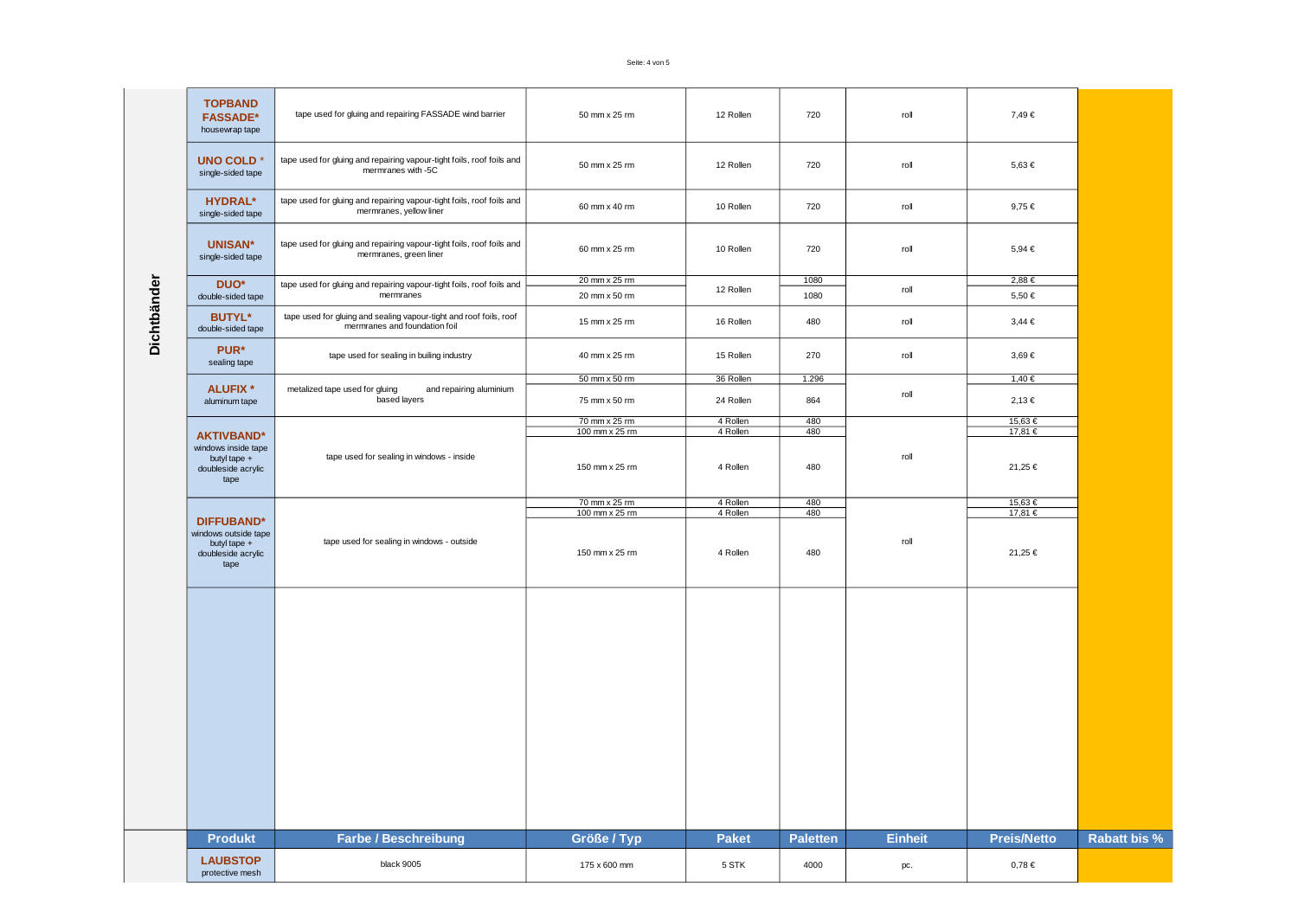|             | <b>TOPBAND</b>                                                     |                                                                                                     |                |              |                 |                |                                    |                     |
|-------------|--------------------------------------------------------------------|-----------------------------------------------------------------------------------------------------|----------------|--------------|-----------------|----------------|------------------------------------|---------------------|
|             | <b>FASSADE*</b><br>housewrap tape                                  | tape used for gluing and repairing FASSADE wind barrier                                             | 50 mm x 25 rm  | 12 Rollen    | 720             | roll           | 7,49€                              |                     |
|             | <b>UNO COLD*</b><br>single-sided tape                              | tape used for gluing and repairing vapour-tight foils, roof foils and<br>mermranes with -5C         | 50 mm x 25 rm  | 12 Rollen    | 720             | roll           | 5,63€                              |                     |
|             | <b>HYDRAL*</b><br>single-sided tape                                | tape used for gluing and repairing vapour-tight foils, roof foils and<br>mermranes, yellow liner    | 60 mm x 40 rm  | 10 Rollen    | 720             | roll           | 9,75€<br>5,94 €<br>2,88€<br>5,50 € |                     |
|             | <b>UNISAN*</b><br>single-sided tape                                | tape used for gluing and repairing vapour-tight foils, roof foils and<br>mermranes, green liner     | 60 mm x 25 rm  | 10 Rollen    | 720             | roll           |                                    |                     |
|             | DUO <sup>*</sup>                                                   | tape used for gluing and repairing vapour-tight foils, roof foils and                               | 20 mm x 25 rm  | 12 Rollen    | 1080            | roll           |                                    |                     |
|             | double-sided tape                                                  | mermranes                                                                                           | 20 mm x 50 rm  |              | 1080            |                |                                    |                     |
| Dichtbänder | <b>BUTYL*</b><br>double-sided tape                                 | tape used for gluing and sealing vapour-tight and roof foils, roof<br>mermranes and foundation foil | 15 mm x 25 rm  | 16 Rollen    | 480             | roll           | $3,44 \in$                         |                     |
|             | PUR*<br>sealing tape                                               | tape used for sealing in builing industry                                                           | 40 mm x 25 rm  | 15 Rollen    | 270             | roll           | 3,69€                              |                     |
|             |                                                                    |                                                                                                     | 50 mm x 50 rm  | 36 Rollen    | 1.296           |                | 1,40 €                             |                     |
|             | <b>ALUFIX *</b><br>aluminum tape                                   | metalized tape used for gluing<br>and repairing aluminium<br>based layers                           | 75 mm x 50 rm  | 24 Rollen    | 864             | roll           | $2,13 \in$                         |                     |
|             |                                                                    |                                                                                                     | 70 mm x 25 rm  | 4 Rollen     | 480             |                | 15,63€                             |                     |
|             | <b>AKTIVBAND*</b>                                                  |                                                                                                     | 100 mm x 25 rm | 4 Rollen     | 480             |                | 17,81 €                            |                     |
|             | windows inside tape<br>butyl tape +<br>doubleside acrylic<br>tape  | tape used for sealing in windows - inside                                                           | 150 mm x 25 rm | 4 Rollen     | 480             | roll           | 21,25€                             |                     |
|             |                                                                    |                                                                                                     | 70 mm x 25 rm  | 4 Rollen     | 480             |                | 15,63€                             |                     |
|             | <b>DIFFUBAND*</b>                                                  |                                                                                                     | 100 mm x 25 rm | 4 Rollen     | 480             |                | 17,81 €                            |                     |
|             | windows outside tape<br>butyl tape +<br>doubleside acrylic<br>tape | tape used for sealing in windows - outside                                                          | 150 mm x 25 rm | 4 Rollen     | 480             | roll           | 21,25 €                            |                     |
|             |                                                                    |                                                                                                     |                |              |                 |                |                                    |                     |
|             | <b>Produkt</b>                                                     | <b>Farbe / Beschreibung</b>                                                                         | Größe / Typ    | <b>Paket</b> | <b>Paletten</b> | <b>Einheit</b> | <b>Preis/Netto</b>                 | <b>Rabatt bis %</b> |
|             | <b>LAUBSTOP</b><br>protective mesh                                 | black 9005                                                                                          | 175 x 600 mm   | 5 STK        | 4000            | pc.            | $0,78 \in$                         |                     |